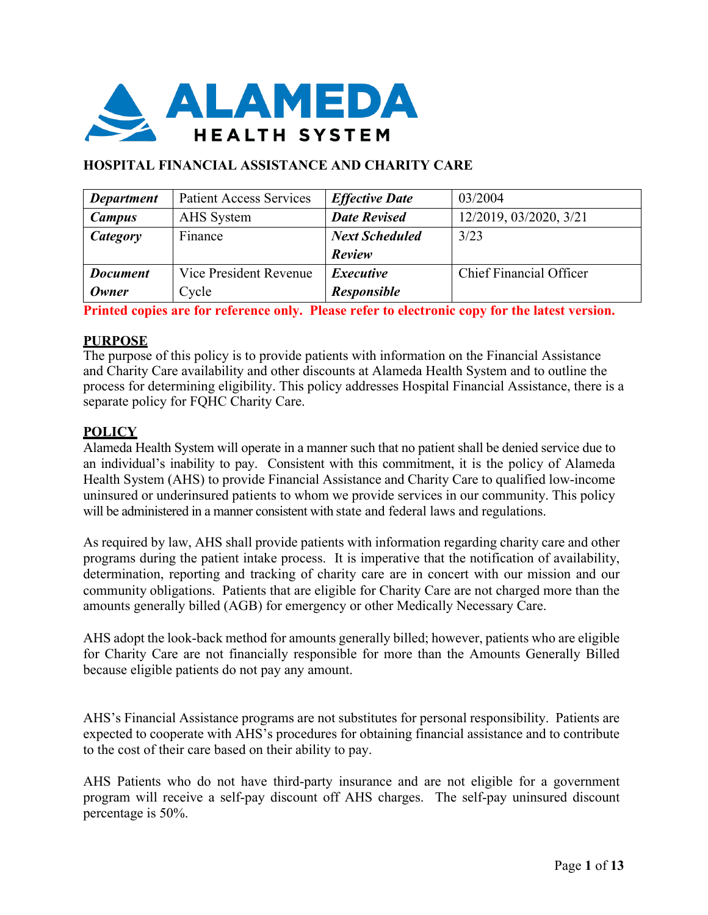

# **HOSPITAL FINANCIAL ASSISTANCE AND CHARITY CARE**

| <b>Department</b> | <b>Patient Access Services</b> | <b>Effective Date</b> | 03/2004                        |
|-------------------|--------------------------------|-----------------------|--------------------------------|
| <b>Campus</b>     | AHS System                     | <b>Date Revised</b>   | 12/2019, 03/2020, 3/21         |
| Category          | Finance                        | <b>Next Scheduled</b> | 3/23                           |
|                   |                                | Review                |                                |
| <b>Document</b>   | Vice President Revenue         | <i>Executive</i>      | <b>Chief Financial Officer</b> |
| <b>Owner</b>      | Cycle                          | <b>Responsible</b>    |                                |

**Printed copies are for reference only. Please refer to electronic copy for the latest version.**

#### **PURPOSE**

The purpose of this policy is to provide patients with information on the Financial Assistance and Charity Care availability and other discounts at Alameda Health System and to outline the process for determining eligibility. This policy addresses Hospital Financial Assistance, there is a separate policy for FQHC Charity Care.

### **POLICY**

Alameda Health System will operate in a manner such that no patient shall be denied service due to an individual's inability to pay. Consistent with this commitment, it is the policy of Alameda Health System (AHS) to provide Financial Assistance and Charity Care to qualified low-income uninsured or underinsured patients to whom we provide services in our community. This policy will be administered in a manner consistent with state and federal laws and regulations.

As required by law, AHS shall provide patients with information regarding charity care and other programs during the patient intake process. It is imperative that the notification of availability, determination, reporting and tracking of charity care are in concert with our mission and our community obligations. Patients that are eligible for Charity Care are not charged more than the amounts generally billed (AGB) for emergency or other Medically Necessary Care.

AHS adopt the look-back method for amounts generally billed; however, patients who are eligible for Charity Care are not financially responsible for more than the Amounts Generally Billed because eligible patients do not pay any amount.

AHS's Financial Assistance programs are not substitutes for personal responsibility. Patients are expected to cooperate with AHS's procedures for obtaining financial assistance and to contribute to the cost of their care based on their ability to pay.

AHS Patients who do not have third-party insurance and are not eligible for a government program will receive a self-pay discount off AHS charges. The self-pay uninsured discount percentage is 50%.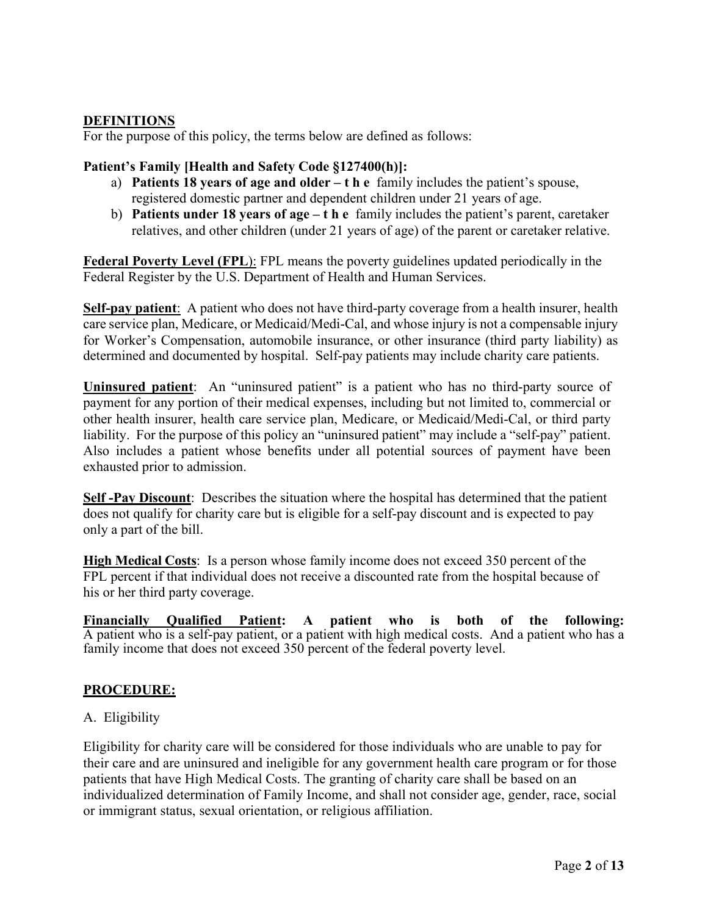### **DEFINITIONS**

For the purpose of this policy, the terms below are defined as follows:

### **Patient's Family [Health and Safety Code §127400(h)]:**

- a) **Patients 18 years of age and older – the** family includes the patient's spouse, registered domestic partner and dependent children under 21 years of age.
- b) **Patients under 18 years of age – the** family includes the patient's parent, caretaker relatives, and other children (under 21 years of age) of the parent or caretaker relative.

**Federal Poverty Level (FPL**): FPL means the poverty guidelines updated periodically in the Federal Register by the U.S. Department of Health and Human Services.

**Self-pay patient**: A patient who does not have third-party coverage from a health insurer, health care service plan, Medicare, or Medicaid/Medi-Cal, and whose injury is not a compensable injury for Worker's Compensation, automobile insurance, or other insurance (third party liability) as determined and documented by hospital. Self-pay patients may include charity care patients.

**Uninsured patient**: An "uninsured patient" is a patient who has no third-party source of payment for any portion of their medical expenses, including but not limited to, commercial or other health insurer, health care service plan, Medicare, or Medicaid/Medi-Cal, or third party liability. For the purpose of this policy an "uninsured patient" may include a "self-pay" patient. Also includes a patient whose benefits under all potential sources of payment have been exhausted prior to admission.

**Self -Pay Discount**: Describes the situation where the hospital has determined that the patient does not qualify for charity care but is eligible for a self-pay discount and is expected to pay only a part of the bill.

**High Medical Costs**: Is a person whose family income does not exceed 350 percent of the FPL percent if that individual does not receive a discounted rate from the hospital because of his or her third party coverage.

**Financially Qualified Patient: A patient who is both of the following:**  A patient who is a self-pay patient, or a patient with high medical costs. And a patient who has a family income that does not exceed 350 percent of the federal poverty level.

# **PROCEDURE:**

### A. Eligibility

Eligibility for charity care will be considered for those individuals who are unable to pay for their care and are uninsured and ineligible for any government health care program or for those patients that have High Medical Costs. The granting of charity care shall be based on an individualized determination of Family Income, and shall not consider age, gender, race, social or immigrant status, sexual orientation, or religious affiliation.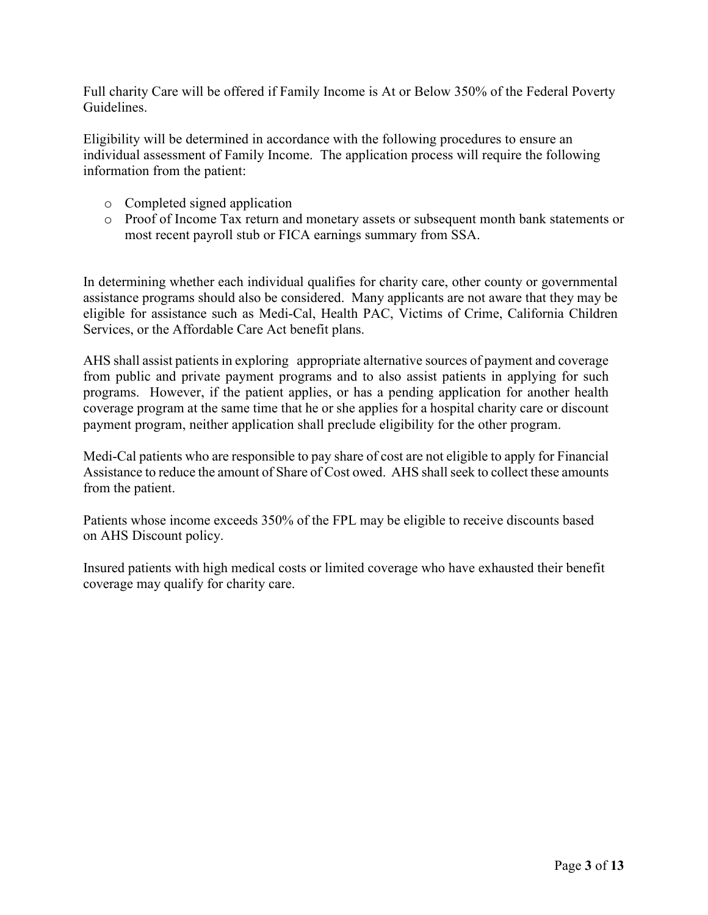Full charity Care will be offered if Family Income is At or Below 350% of the Federal Poverty Guidelines.

Eligibility will be determined in accordance with the following procedures to ensure an individual assessment of Family Income. The application process will require the following information from the patient:

- o Completed signed application
- o Proof of Income Tax return and monetary assets or subsequent month bank statements or most recent payroll stub or FICA earnings summary from SSA.

In determining whether each individual qualifies for charity care, other county or governmental assistance programs should also be considered. Many applicants are not aware that they may be eligible for assistance such as Medi-Cal, Health PAC, Victims of Crime, California Children Services, or the Affordable Care Act benefit plans.

AHS shall assist patients in exploring appropriate alternative sources of payment and coverage from public and private payment programs and to also assist patients in applying for such programs. However, if the patient applies, or has a pending application for another health coverage program at the same time that he or she applies for a hospital charity care or discount payment program, neither application shall preclude eligibility for the other program.

Medi-Cal patients who are responsible to pay share of cost are not eligible to apply for Financial Assistance to reduce the amount of Share of Cost owed. AHS shall seek to collect these amounts from the patient.

Patients whose income exceeds 350% of the FPL may be eligible to receive discounts based on AHS Discount policy.

Insured patients with high medical costs or limited coverage who have exhausted their benefit coverage may qualify for charity care.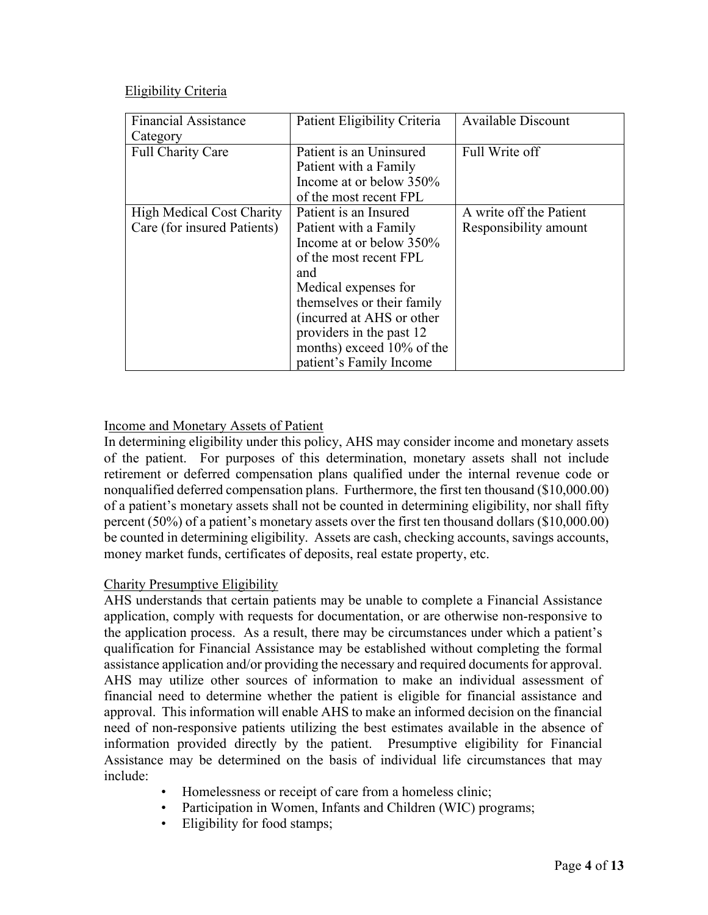### Eligibility Criteria

| <b>Financial Assistance</b>      | Patient Eligibility Criteria | <b>Available Discount</b> |  |
|----------------------------------|------------------------------|---------------------------|--|
| Category                         |                              |                           |  |
| Full Charity Care                | Patient is an Uninsured      | Full Write off            |  |
|                                  | Patient with a Family        |                           |  |
|                                  | Income at or below 350%      |                           |  |
|                                  | of the most recent FPL       |                           |  |
| <b>High Medical Cost Charity</b> | Patient is an Insured        | A write off the Patient   |  |
| Care (for insured Patients)      | Patient with a Family        | Responsibility amount     |  |
|                                  | Income at or below 350%      |                           |  |
|                                  | of the most recent FPL       |                           |  |
|                                  | and                          |                           |  |
|                                  | Medical expenses for         |                           |  |
|                                  | themselves or their family   |                           |  |
|                                  | (incurred at AHS or other    |                           |  |
|                                  | providers in the past 12     |                           |  |
|                                  | months) exceed 10% of the    |                           |  |
|                                  | patient's Family Income      |                           |  |

# Income and Monetary Assets of Patient

In determining eligibility under this policy, AHS may consider income and monetary assets of the patient. For purposes of this determination, monetary assets shall not include retirement or deferred compensation plans qualified under the internal revenue code or nonqualified deferred compensation plans. Furthermore, the first ten thousand (\$10,000.00) of a patient's monetary assets shall not be counted in determining eligibility, nor shall fifty percent (50%) of a patient's monetary assets over the first ten thousand dollars (\$10,000.00) be counted in determining eligibility. Assets are cash, checking accounts, savings accounts, money market funds, certificates of deposits, real estate property, etc.

# Charity Presumptive Eligibility

AHS understands that certain patients may be unable to complete a Financial Assistance application, comply with requests for documentation, or are otherwise non-responsive to the application process. As a result, there may be circumstances under which a patient's qualification for Financial Assistance may be established without completing the formal assistance application and/or providing the necessary and required documents for approval. AHS may utilize other sources of information to make an individual assessment of financial need to determine whether the patient is eligible for financial assistance and approval. This information will enable AHS to make an informed decision on the financial need of non-responsive patients utilizing the best estimates available in the absence of information provided directly by the patient. Presumptive eligibility for Financial Assistance may be determined on the basis of individual life circumstances that may include:

- Homelessness or receipt of care from a homeless clinic;
- Participation in Women, Infants and Children (WIC) programs;
- Eligibility for food stamps;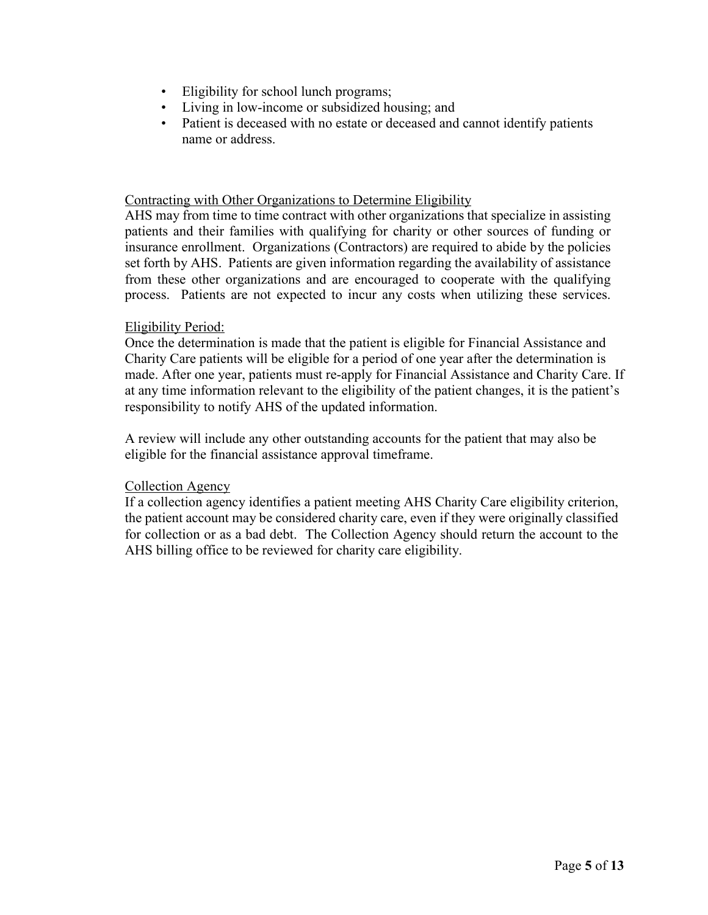- Eligibility for school lunch programs;
- Living in low-income or subsidized housing; and
- Patient is deceased with no estate or deceased and cannot identify patients name or address.

#### Contracting with Other Organizations to Determine Eligibility

AHS may from time to time contract with other organizations that specialize in assisting patients and their families with qualifying for charity or other sources of funding or insurance enrollment. Organizations (Contractors) are required to abide by the policies set forth by AHS. Patients are given information regarding the availability of assistance from these other organizations and are encouraged to cooperate with the qualifying process. Patients are not expected to incur any costs when utilizing these services.

### Eligibility Period:

Once the determination is made that the patient is eligible for Financial Assistance and Charity Care patients will be eligible for a period of one year after the determination is made. After one year, patients must re-apply for Financial Assistance and Charity Care. If at any time information relevant to the eligibility of the patient changes, it is the patient's responsibility to notify AHS of the updated information.

A review will include any other outstanding accounts for the patient that may also be eligible for the financial assistance approval timeframe.

### Collection Agency

If a collection agency identifies a patient meeting AHS Charity Care eligibility criterion, the patient account may be considered charity care, even if they were originally classified for collection or as a bad debt. The Collection Agency should return the account to the AHS billing office to be reviewed for charity care eligibility.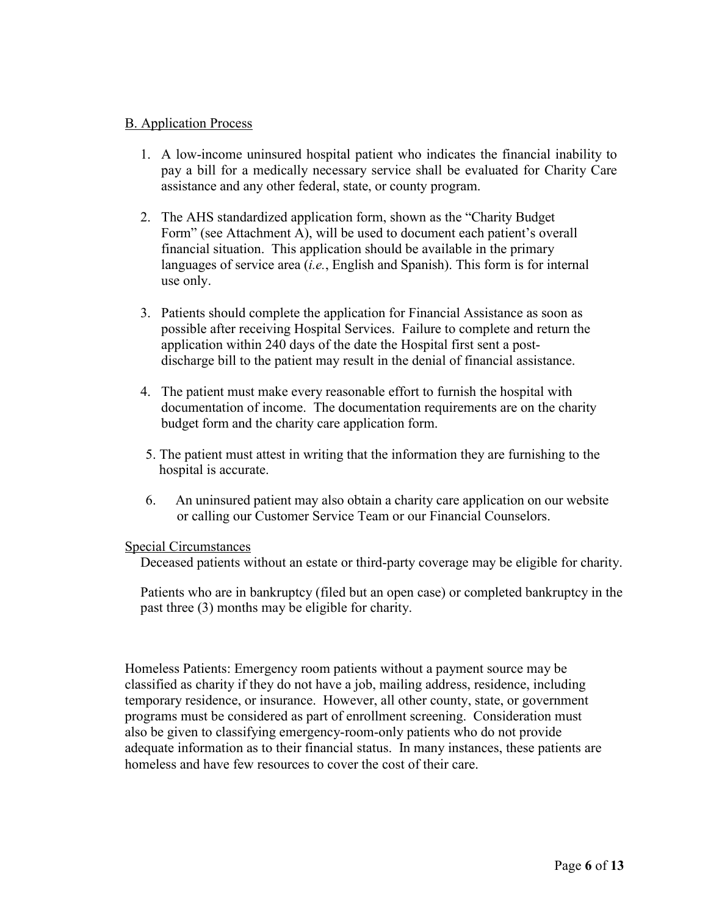#### B. Application Process

- 1. A low-income uninsured hospital patient who indicates the financial inability to pay a bill for a medically necessary service shall be evaluated for Charity Care assistance and any other federal, state, or county program.
- 2. The AHS standardized application form, shown as the "Charity Budget Form" (see Attachment A), will be used to document each patient's overall financial situation. This application should be available in the primary languages of service area (*i.e.*, English and Spanish). This form is for internal use only.
- 3. Patients should complete the application for Financial Assistance as soon as possible after receiving Hospital Services. Failure to complete and return the application within 240 days of the date the Hospital first sent a postdischarge bill to the patient may result in the denial of financial assistance.
- 4. The patient must make every reasonable effort to furnish the hospital with documentation of income. The documentation requirements are on the charity budget form and the charity care application form.
- 5. The patient must attest in writing that the information they are furnishing to the hospital is accurate.
- 6. An uninsured patient may also obtain a charity care application on our website or calling our Customer Service Team or our Financial Counselors.

#### Special Circumstances

Deceased patients without an estate or third-party coverage may be eligible for charity.

Patients who are in bankruptcy (filed but an open case) or completed bankruptcy in the past three (3) months may be eligible for charity.

Homeless Patients: Emergency room patients without a payment source may be classified as charity if they do not have a job, mailing address, residence, including temporary residence, or insurance. However, all other county, state, or government programs must be considered as part of enrollment screening. Consideration must also be given to classifying emergency-room-only patients who do not provide adequate information as to their financial status. In many instances, these patients are homeless and have few resources to cover the cost of their care.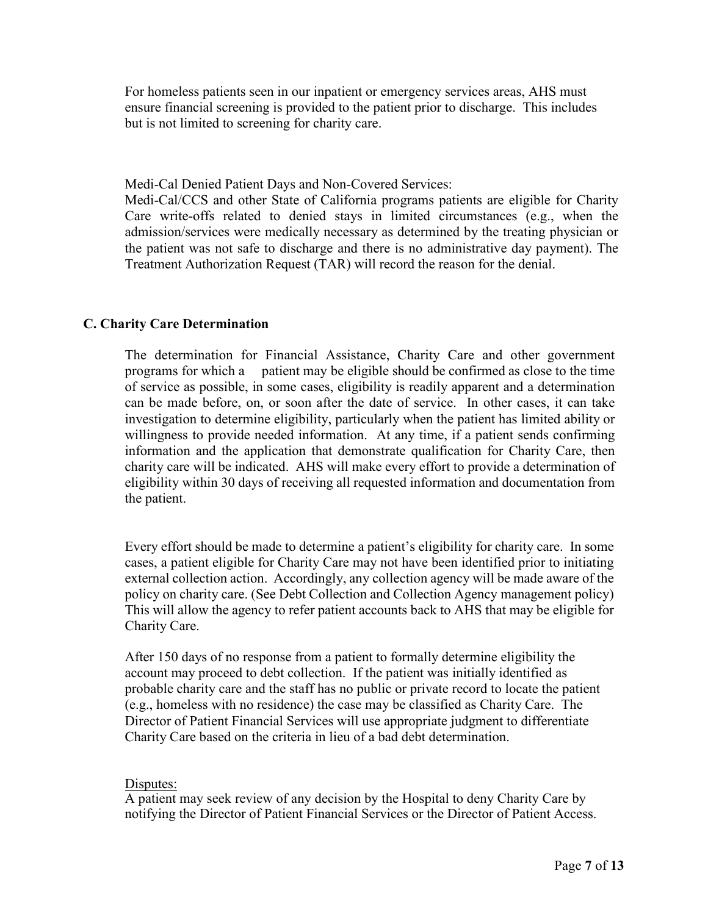For homeless patients seen in our inpatient or emergency services areas, AHS must ensure financial screening is provided to the patient prior to discharge. This includes but is not limited to screening for charity care.

Medi-Cal Denied Patient Days and Non-Covered Services:

Medi-Cal/CCS and other State of California programs patients are eligible for Charity Care write-offs related to denied stays in limited circumstances (e.g., when the admission/services were medically necessary as determined by the treating physician or the patient was not safe to discharge and there is no administrative day payment). The Treatment Authorization Request (TAR) will record the reason for the denial.

### **C. Charity Care Determination**

The determination for Financial Assistance, Charity Care and other government programs for which a patient may be eligible should be confirmed as close to the time of service as possible, in some cases, eligibility is readily apparent and a determination can be made before, on, or soon after the date of service. In other cases, it can take investigation to determine eligibility, particularly when the patient has limited ability or willingness to provide needed information. At any time, if a patient sends confirming information and the application that demonstrate qualification for Charity Care, then charity care will be indicated. AHS will make every effort to provide a determination of eligibility within 30 days of receiving all requested information and documentation from the patient.

Every effort should be made to determine a patient's eligibility for charity care. In some cases, a patient eligible for Charity Care may not have been identified prior to initiating external collection action. Accordingly, any collection agency will be made aware of the policy on charity care. (See Debt Collection and Collection Agency management policy) This will allow the agency to refer patient accounts back to AHS that may be eligible for Charity Care.

After 150 days of no response from a patient to formally determine eligibility the account may proceed to debt collection. If the patient was initially identified as probable charity care and the staff has no public or private record to locate the patient (e.g., homeless with no residence) the case may be classified as Charity Care. The Director of Patient Financial Services will use appropriate judgment to differentiate Charity Care based on the criteria in lieu of a bad debt determination.

### Disputes:

A patient may seek review of any decision by the Hospital to deny Charity Care by notifying the Director of Patient Financial Services or the Director of Patient Access.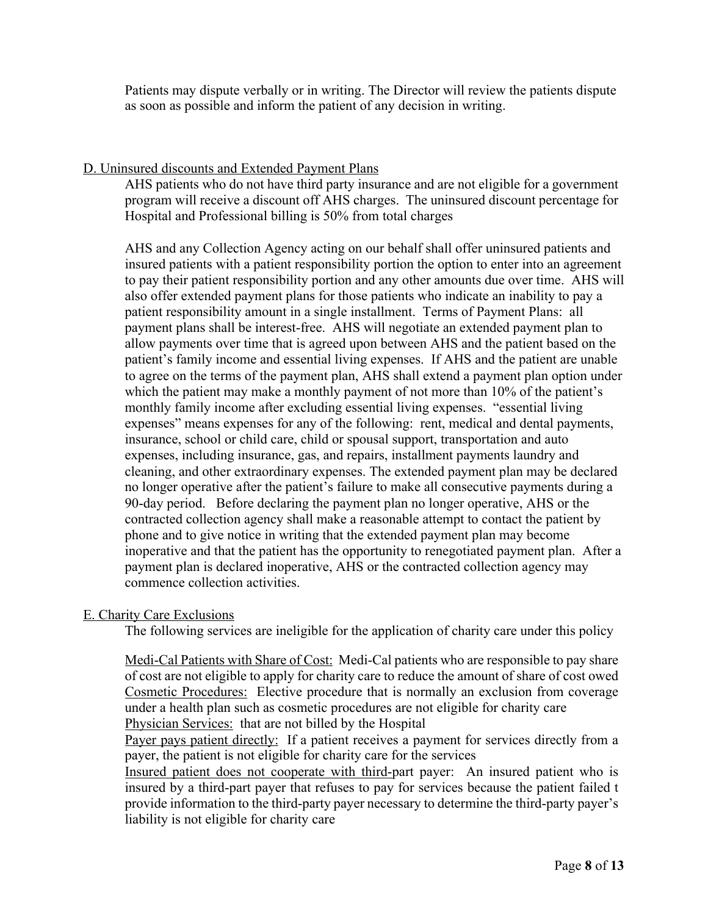Patients may dispute verbally or in writing. The Director will review the patients dispute as soon as possible and inform the patient of any decision in writing.

### D. Uninsured discounts and Extended Payment Plans

AHS patients who do not have third party insurance and are not eligible for a government program will receive a discount off AHS charges. The uninsured discount percentage for Hospital and Professional billing is 50% from total charges

AHS and any Collection Agency acting on our behalf shall offer uninsured patients and insured patients with a patient responsibility portion the option to enter into an agreement to pay their patient responsibility portion and any other amounts due over time. AHS will also offer extended payment plans for those patients who indicate an inability to pay a patient responsibility amount in a single installment. Terms of Payment Plans: all payment plans shall be interest-free. AHS will negotiate an extended payment plan to allow payments over time that is agreed upon between AHS and the patient based on the patient's family income and essential living expenses. If AHS and the patient are unable to agree on the terms of the payment plan, AHS shall extend a payment plan option under which the patient may make a monthly payment of not more than 10% of the patient's monthly family income after excluding essential living expenses. "essential living expenses" means expenses for any of the following: rent, medical and dental payments, insurance, school or child care, child or spousal support, transportation and auto expenses, including insurance, gas, and repairs, installment payments laundry and cleaning, and other extraordinary expenses. The extended payment plan may be declared no longer operative after the patient's failure to make all consecutive payments during a 90-day period. Before declaring the payment plan no longer operative, AHS or the contracted collection agency shall make a reasonable attempt to contact the patient by phone and to give notice in writing that the extended payment plan may become inoperative and that the patient has the opportunity to renegotiated payment plan. After a payment plan is declared inoperative, AHS or the contracted collection agency may commence collection activities.

# E. Charity Care Exclusions

The following services are ineligible for the application of charity care under this policy

Medi-Cal Patients with Share of Cost: Medi-Cal patients who are responsible to pay share of cost are not eligible to apply for charity care to reduce the amount of share of cost owed Cosmetic Procedures: Elective procedure that is normally an exclusion from coverage under a health plan such as cosmetic procedures are not eligible for charity care Physician Services: that are not billed by the Hospital

Payer pays patient directly: If a patient receives a payment for services directly from a payer, the patient is not eligible for charity care for the services

Insured patient does not cooperate with third-part payer: An insured patient who is insured by a third-part payer that refuses to pay for services because the patient failed t provide information to the third-party payer necessary to determine the third-party payer's liability is not eligible for charity care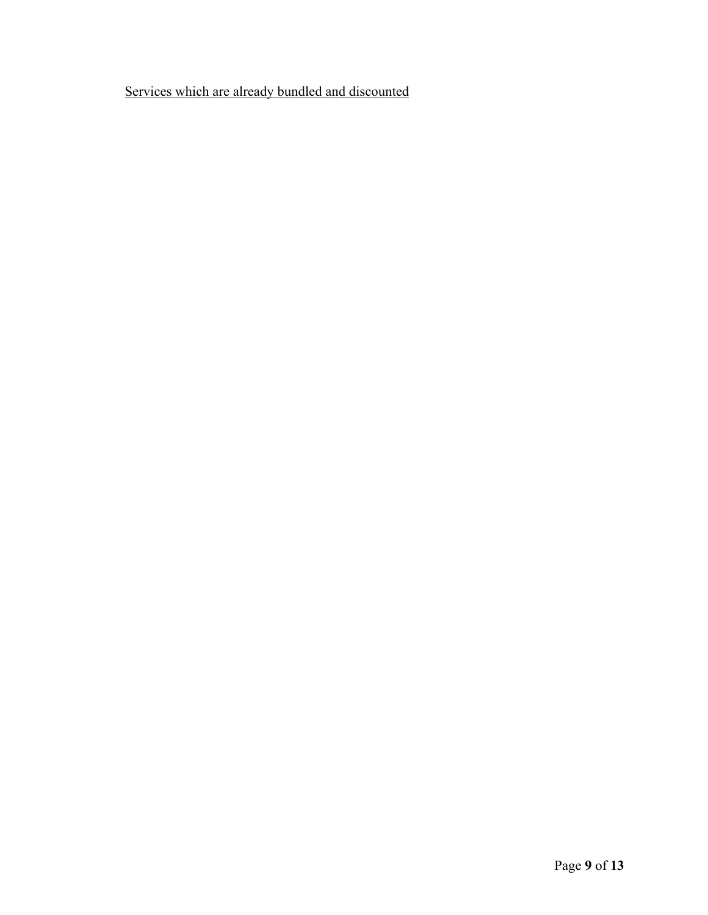Services which are already bundled and discounted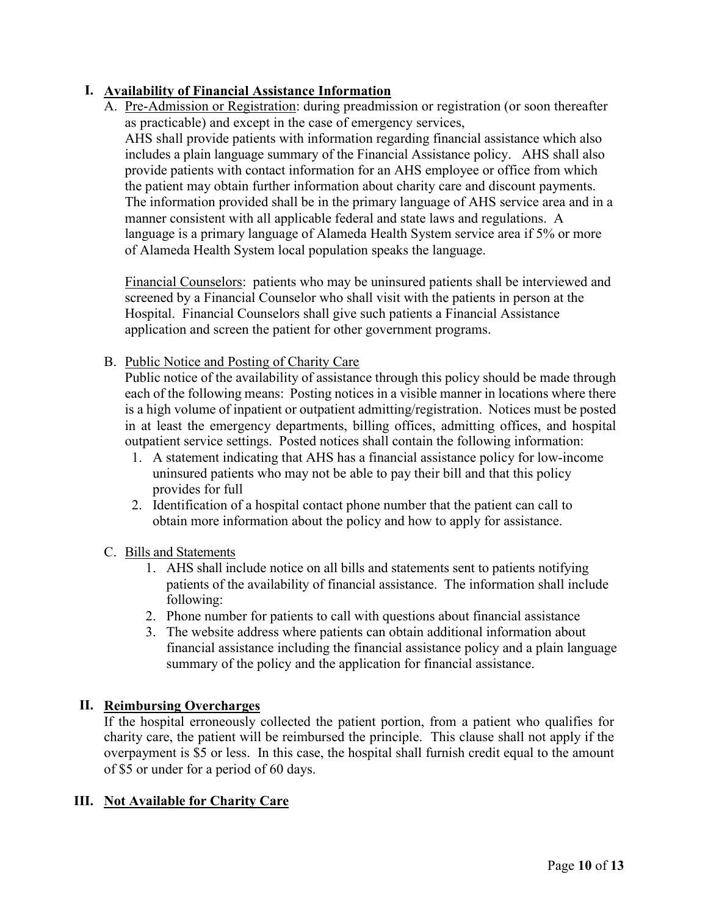# **I. Availability of Financial Assistance Information**

A. Pre-Admission or Registration: during preadmission or registration (or soon thereafter as practicable) and except in the case of emergency services, AHS shall provide patients with information regarding financial assistance which also includes a plain language summary of the Financial Assistance policy. AHS shall also provide patients with contact information for an AHS employee or office from which the patient may obtain further information about charity care and discount payments. The information provided shall be in the primary language of AHS service area and in a manner consistent with all applicable federal and state laws and regulations. A language is a primary language of Alameda Health System service area if 5% or more of Alameda Health System local population speaks the language.

Financial Counselors: patients who may be uninsured patients shall be interviewed and screened by a Financial Counselor who shall visit with the patients in person at the Hospital. Financial Counselors shall give such patients a Financial Assistance application and screen the patient for other government programs.

B. Public Notice and Posting of Charity Care

Public notice of the availability of assistance through this policy should be made through each of the following means: Posting notices in a visible manner in locations where there is a high volume of inpatient or outpatient admitting/registration. Notices must be posted in at least the emergency departments, billing offices, admitting offices, and hospital outpatient service settings. Posted notices shall contain the following information:

- 1. A statement indicating that AHS has a financial assistance policy for low-income uninsured patients who may not be able to pay their bill and that this policy provides for full
- 2. Identification of a hospital contact phone number that the patient can call to obtain more information about the policy and how to apply for assistance.

# C. Bills and Statements

- 1. AHS shall include notice on all bills and statements sent to patients notifying patients of the availability of financial assistance. The information shall include following:
- 2. Phone number for patients to call with questions about financial assistance
- 3. The website address where patients can obtain additional information about financial assistance including the financial assistance policy and a plain language summary of the policy and the application for financial assistance.

# **II. Reimbursing Overcharges**

If the hospital erroneously collected the patient portion, from a patient who qualifies for charity care, the patient will be reimbursed the principle. This clause shall not apply if the overpayment is \$5 or less. In this case, the hospital shall furnish credit equal to the amount of \$5 or under for a period of 60 days.

# **III. Not Available for Charity Care**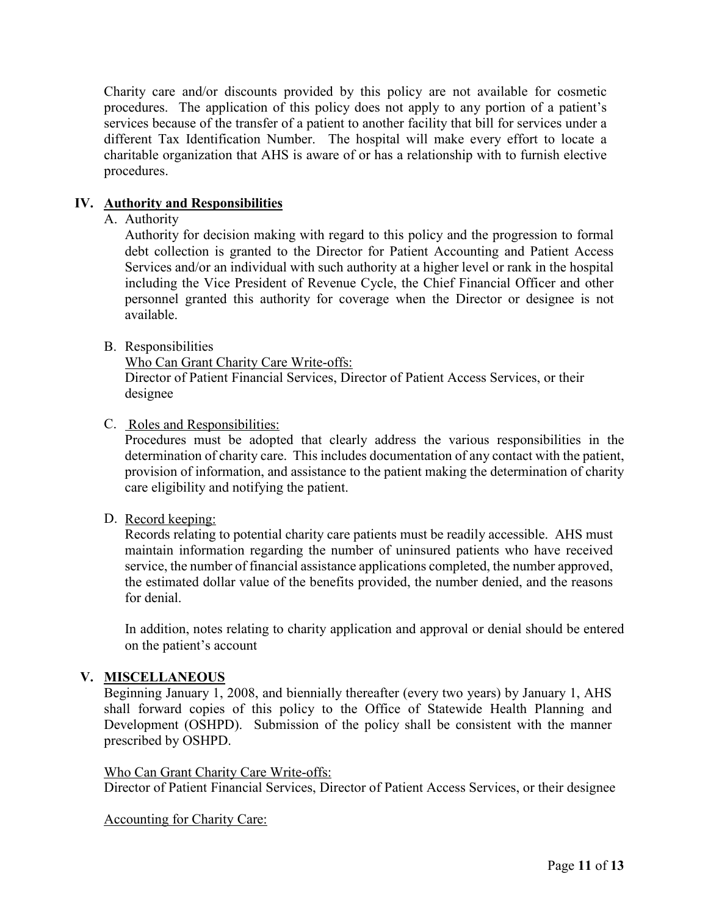Charity care and/or discounts provided by this policy are not available for cosmetic procedures. The application of this policy does not apply to any portion of a patient's services because of the transfer of a patient to another facility that bill for services under a different Tax Identification Number. The hospital will make every effort to locate a charitable organization that AHS is aware of or has a relationship with to furnish elective procedures.

### **IV. Authority and Responsibilities**

### A. Authority

Authority for decision making with regard to this policy and the progression to formal debt collection is granted to the Director for Patient Accounting and Patient Access Services and/or an individual with such authority at a higher level or rank in the hospital including the Vice President of Revenue Cycle, the Chief Financial Officer and other personnel granted this authority for coverage when the Director or designee is not available.

### B. Responsibilities

Who Can Grant Charity Care Write-offs:

Director of Patient Financial Services, Director of Patient Access Services, or their designee

### C. Roles and Responsibilities:

Procedures must be adopted that clearly address the various responsibilities in the determination of charity care. This includes documentation of any contact with the patient, provision of information, and assistance to the patient making the determination of charity care eligibility and notifying the patient.

### D. Record keeping:

Records relating to potential charity care patients must be readily accessible. AHS must maintain information regarding the number of uninsured patients who have received service, the number of financial assistance applications completed, the number approved, the estimated dollar value of the benefits provided, the number denied, and the reasons for denial.

In addition, notes relating to charity application and approval or denial should be entered on the patient's account

### **V. MISCELLANEOUS**

Beginning January 1, 2008, and biennially thereafter (every two years) by January 1, AHS shall forward copies of this policy to the Office of Statewide Health Planning and Development (OSHPD). Submission of the policy shall be consistent with the manner prescribed by OSHPD.

#### Who Can Grant Charity Care Write-offs:

Director of Patient Financial Services, Director of Patient Access Services, or their designee

Accounting for Charity Care: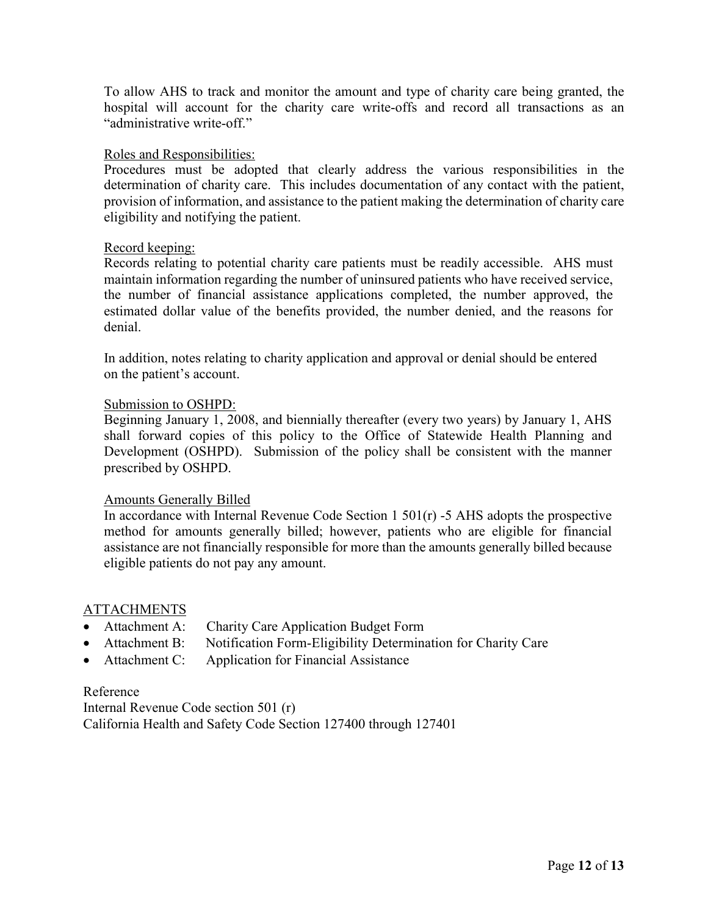To allow AHS to track and monitor the amount and type of charity care being granted, the hospital will account for the charity care write-offs and record all transactions as an "administrative write-off."

#### Roles and Responsibilities:

Procedures must be adopted that clearly address the various responsibilities in the determination of charity care. This includes documentation of any contact with the patient, provision of information, and assistance to the patient making the determination of charity care eligibility and notifying the patient.

#### Record keeping:

Records relating to potential charity care patients must be readily accessible. AHS must maintain information regarding the number of uninsured patients who have received service, the number of financial assistance applications completed, the number approved, the estimated dollar value of the benefits provided, the number denied, and the reasons for denial.

In addition, notes relating to charity application and approval or denial should be entered on the patient's account.

### Submission to OSHPD:

Beginning January 1, 2008, and biennially thereafter (every two years) by January 1, AHS shall forward copies of this policy to the Office of Statewide Health Planning and Development (OSHPD). Submission of the policy shall be consistent with the manner prescribed by OSHPD.

### Amounts Generally Billed

In accordance with Internal Revenue Code Section  $1\ 501(r)$  -5 AHS adopts the prospective method for amounts generally billed; however, patients who are eligible for financial assistance are not financially responsible for more than the amounts generally billed because eligible patients do not pay any amount.

### ATTACHMENTS

- Attachment A:Charity Care Application Budget Form
- Attachment B:Notification Form-Eligibility Determination for Charity Care
- Attachment C: Application for Financial Assistance

### Reference

Internal Revenue Code section 501 (r) California Health and Safety Code Section 127400 through 127401